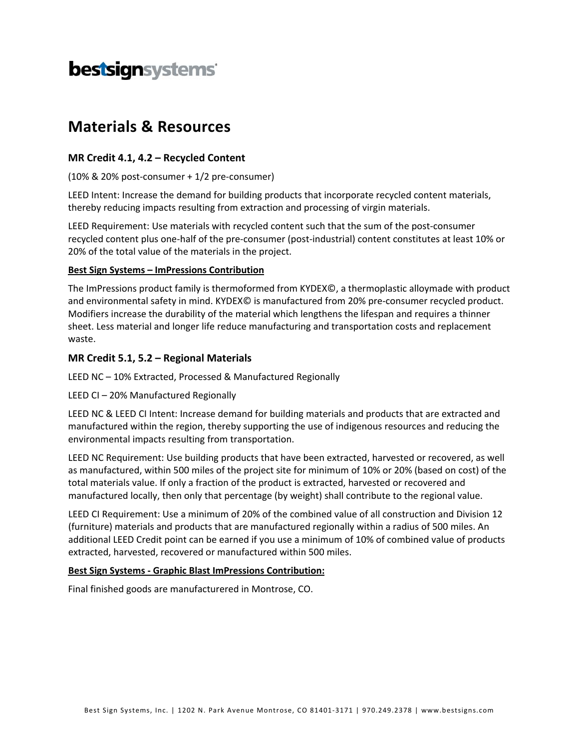# bestsignsystems

# **Materials & Resources**

### **MR Credit 4.1, 4.2 – Recycled Content**

(10% & 20% post‐consumer + 1/2 pre‐consumer)

LEED Intent: Increase the demand for building products that incorporate recycled content materials, thereby reducing impacts resulting from extraction and processing of virgin materials.

LEED Requirement: Use materials with recycled content such that the sum of the post-consumer recycled content plus one‐half of the pre‐consumer (post‐industrial) content constitutes at least 10% or 20% of the total value of the materials in the project.

#### **Best Sign Systems – ImPressions Contribution**

The ImPressions product family is thermoformed from KYDEX©, a thermoplastic alloymade with product and environmental safety in mind. KYDEX© is manufactured from 20% pre‐consumer recycled product. Modifiers increase the durability of the material which lengthens the lifespan and requires a thinner sheet. Less material and longer life reduce manufacturing and transportation costs and replacement waste.

### **MR Credit 5.1, 5.2 – Regional Materials**

LEED NC – 10% Extracted, Processed & Manufactured Regionally

LEED CI – 20% Manufactured Regionally

LEED NC & LEED CI Intent: Increase demand for building materials and products that are extracted and manufactured within the region, thereby supporting the use of indigenous resources and reducing the environmental impacts resulting from transportation.

LEED NC Requirement: Use building products that have been extracted, harvested or recovered, as well as manufactured, within 500 miles of the project site for minimum of 10% or 20% (based on cost) of the total materials value. If only a fraction of the product is extracted, harvested or recovered and manufactured locally, then only that percentage (by weight) shall contribute to the regional value.

LEED CI Requirement: Use a minimum of 20% of the combined value of all construction and Division 12 (furniture) materials and products that are manufactured regionally within a radius of 500 miles. An additional LEED Credit point can be earned if you use a minimum of 10% of combined value of products extracted, harvested, recovered or manufactured within 500 miles.

#### **Best Sign Systems ‐ Graphic Blast ImPressions Contribution:**

Final finished goods are manufacturered in Montrose, CO.